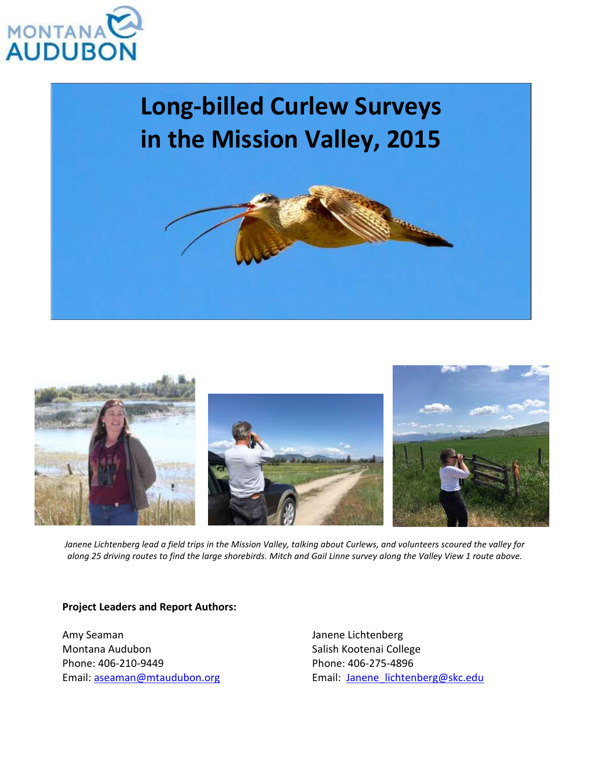

# **Long-billed Curlew Surveys in the Mission Valley, 2015**





*Janene Lichtenberg lead a field trips in the Mission Valley, talking about Curlews, and volunteers scoured the valley for along 25 driving routes to find the large shorebirds. Mitch and Gail Linne survey along the Valley View 1 route above.*

### **Project Leaders and Report Authors:**

Amy Seaman Montana Audubon Phone: 406-210-9449 Email: [aseaman@mtaudubon.org](mailto:amy@mtaudubon.org) Janene Lichtenberg Salish Kootenai College Phone: 406-275-4896 Email: [Janene\\_lichtenberg@skc.edu](mailto:Janene_lichtenberg@skc.edu)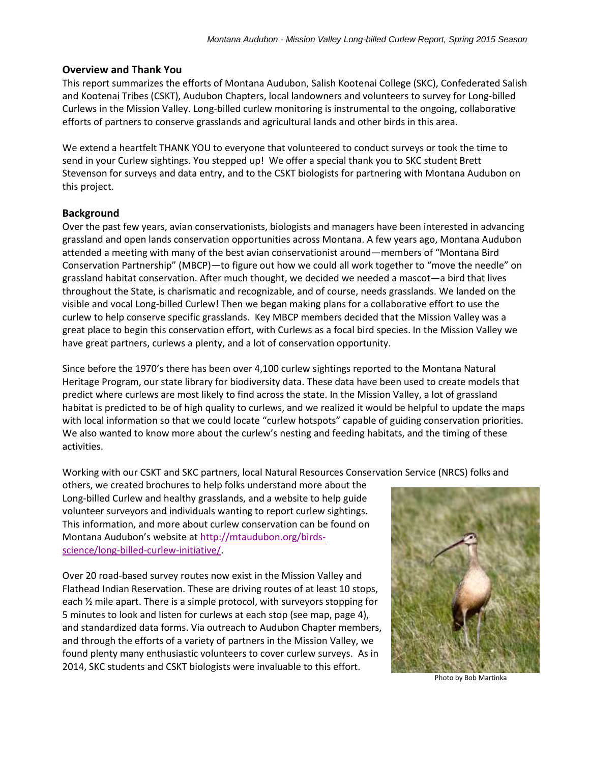#### **Overview and Thank You**

This report summarizes the efforts of Montana Audubon, Salish Kootenai College (SKC), Confederated Salish and Kootenai Tribes (CSKT), Audubon Chapters, local landowners and volunteers to survey for Long-billed Curlews in the Mission Valley. Long-billed curlew monitoring is instrumental to the ongoing, collaborative efforts of partners to conserve grasslands and agricultural lands and other birds in this area.

We extend a heartfelt THANK YOU to everyone that volunteered to conduct surveys or took the time to send in your Curlew sightings. You stepped up! We offer a special thank you to SKC student Brett Stevenson for surveys and data entry, and to the CSKT biologists for partnering with Montana Audubon on this project.

#### **Background**

Over the past few years, avian conservationists, biologists and managers have been interested in advancing grassland and open lands conservation opportunities across Montana. A few years ago, Montana Audubon attended a meeting with many of the best avian conservationist around—members of "Montana Bird Conservation Partnership" (MBCP)—to figure out how we could all work together to "move the needle" on grassland habitat conservation. After much thought, we decided we needed a mascot—a bird that lives throughout the State, is charismatic and recognizable, and of course, needs grasslands. We landed on the visible and vocal Long-billed Curlew! Then we began making plans for a collaborative effort to use the curlew to help conserve specific grasslands. Key MBCP members decided that the Mission Valley was a great place to begin this conservation effort, with Curlews as a focal bird species. In the Mission Valley we have great partners, curlews a plenty, and a lot of conservation opportunity.

Since before the 1970's there has been over 4,100 curlew sightings reported to the Montana Natural Heritage Program, our state library for biodiversity data. These data have been used to create models that predict where curlews are most likely to find across the state. In the Mission Valley, a lot of grassland habitat is predicted to be of high quality to curlews, and we realized it would be helpful to update the maps with local information so that we could locate "curlew hotspots" capable of guiding conservation priorities. We also wanted to know more about the curlew's nesting and feeding habitats, and the timing of these activities.

Working with our CSKT and SKC partners, local Natural Resources Conservation Service (NRCS) folks and

others, we created brochures to help folks understand more about the Long-billed Curlew and healthy grasslands, and a website to help guide volunteer surveyors and individuals wanting to report curlew sightings. This information, and more about curlew conservation can be found on Montana Audubon's website at [http://mtaudubon.org/birds](http://mtaudubon.org/birds-science/long-billed-curlew-initiative/)[science/long-billed-curlew-initiative/.](http://mtaudubon.org/birds-science/long-billed-curlew-initiative/)

Over 20 road-based survey routes now exist in the Mission Valley and Flathead Indian Reservation. These are driving routes of at least 10 stops, each ½ mile apart. There is a simple protocol, with surveyors stopping for 5 minutes to look and listen for curlews at each stop (see map, page 4), and standardized data forms. Via outreach to Audubon Chapter members, and through the efforts of a variety of partners in the Mission Valley, we found plenty many enthusiastic volunteers to cover curlew surveys. As in 2014, SKC students and CSKT biologists were invaluable to this effort.



Photo by Bob Martinka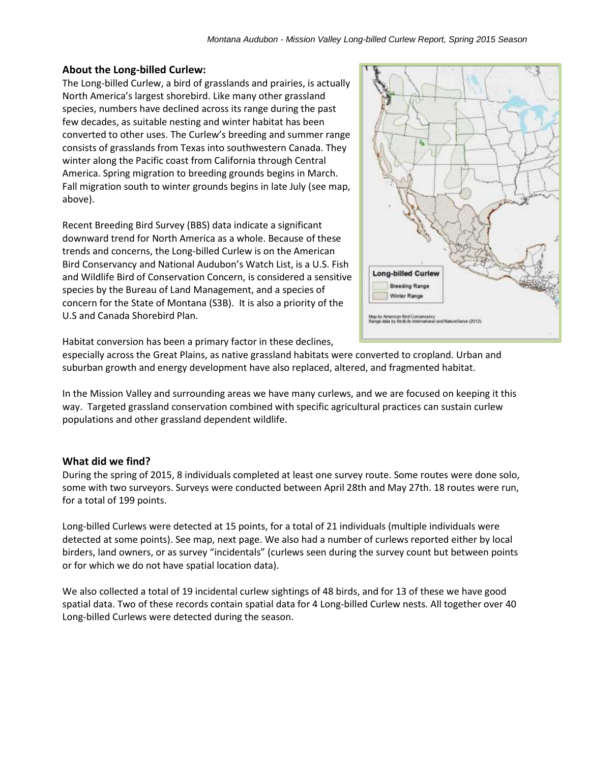## **About the Long-billed Curlew:**

The Long-billed Curlew, a bird of grasslands and prairies, is actually North America's largest shorebird. Like many other grassland species, numbers have declined across its range during the past few decades, as suitable nesting and winter habitat has been converted to other uses. The Curlew's breeding and summer range consists of grasslands from Texas into southwestern Canada. They winter along the Pacific coast from California through Central America. Spring migration to breeding grounds begins in March. Fall migration south to winter grounds begins in late July (see map, above).

Recent Breeding Bird Survey (BBS) data indicate a significant downward trend for North America as a whole. Because of these trends and concerns, the Long-billed Curlew is on the American Bird Conservancy and National Audubon's Watch List, is a U.S. Fish and Wildlife Bird of Conservation Concern, is considered a sensitive species by the Bureau of Land Management, and a species of concern for the State of Montana (S3B). It is also a priority of the U.S and Canada Shorebird Plan.



Habitat conversion has been a primary factor in these declines,

especially across the Great Plains, as native grassland habitats were converted to cropland. Urban and suburban growth and energy development have also replaced, altered, and fragmented habitat.

In the Mission Valley and surrounding areas we have many curlews, and we are focused on keeping it this way. Targeted grassland conservation combined with specific agricultural practices can sustain curlew populations and other grassland dependent wildlife.

## **What did we find?**

During the spring of 2015, 8 individuals completed at least one survey route. Some routes were done solo, some with two surveyors. Surveys were conducted between April 28th and May 27th. 18 routes were run, for a total of 199 points.

Long-billed Curlews were detected at 15 points, for a total of 21 individuals (multiple individuals were detected at some points). See map, next page. We also had a number of curlews reported either by local birders, land owners, or as survey "incidentals" (curlews seen during the survey count but between points or for which we do not have spatial location data).

We also collected a total of 19 incidental curlew sightings of 48 birds, and for 13 of these we have good spatial data. Two of these records contain spatial data for 4 Long-billed Curlew nests. All together over 40 Long-billed Curlews were detected during the season.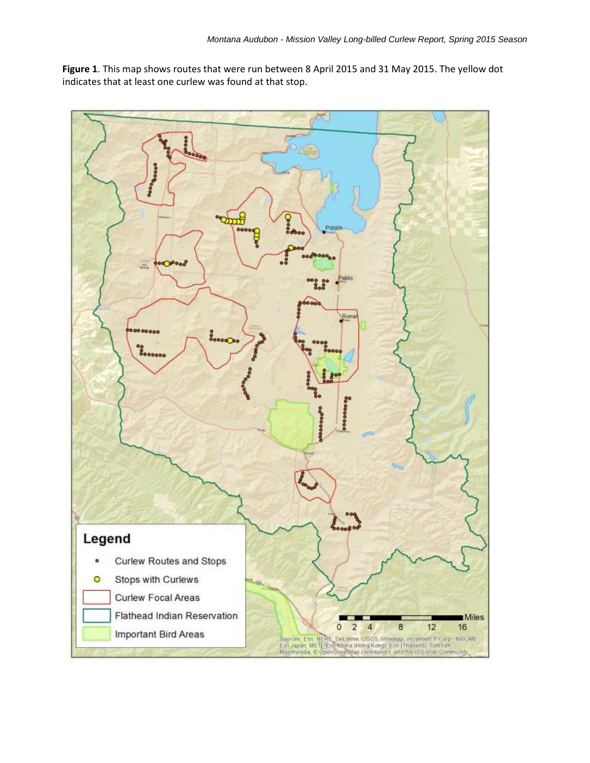**Figure 1**. This map shows routes that were run between 8 April 2015 and 31 May 2015. The yellow dot indicates that at least one curlew was found at that stop.